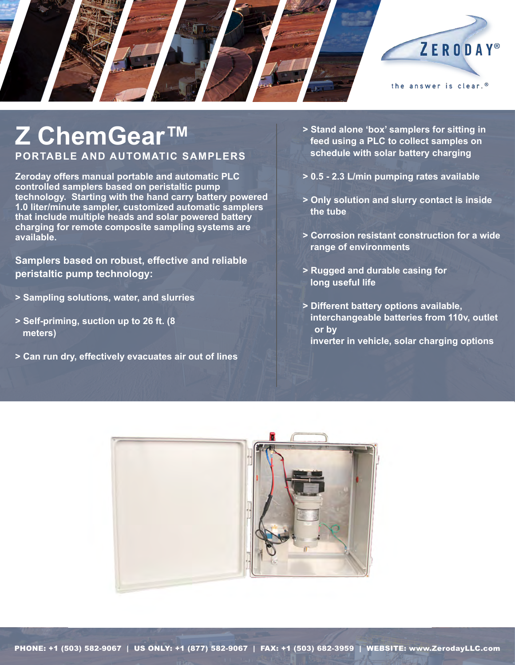

## **Z ChemGear™ Portable and Automatic Samplers**

**Zeroday offers manual portable and automatic PLC controlled samplers based on peristaltic pump technology. Starting with the hand carry battery powered 1.0 liter/minute sampler, customized automatic samplers that include multiple heads and solar powered battery charging for remote composite sampling systems are available.** 

**Samplers based on robust, effective and reliable peristaltic pump technology:**

- **> Sampling solutions, water, and slurries**
- **> Self-priming, suction up to 26 ft. (8 meters)**
- **> Can run dry, effectively evacuates air out of lines**
- **> Stand alone 'box' samplers for sitting in feed using a PLC to collect samples on schedule with solar battery charging**
- **> 0.5 2.3 L/min pumping rates available**
- **> Only solution and slurry contact is inside the tube**
- **> Corrosion resistant construction for a wide range of environments**
- **> Rugged and durable casing for long useful life**
- **> Different battery options available, interchangeable batteries from 110v, outlet or by inverter in vehicle, solar charging options**